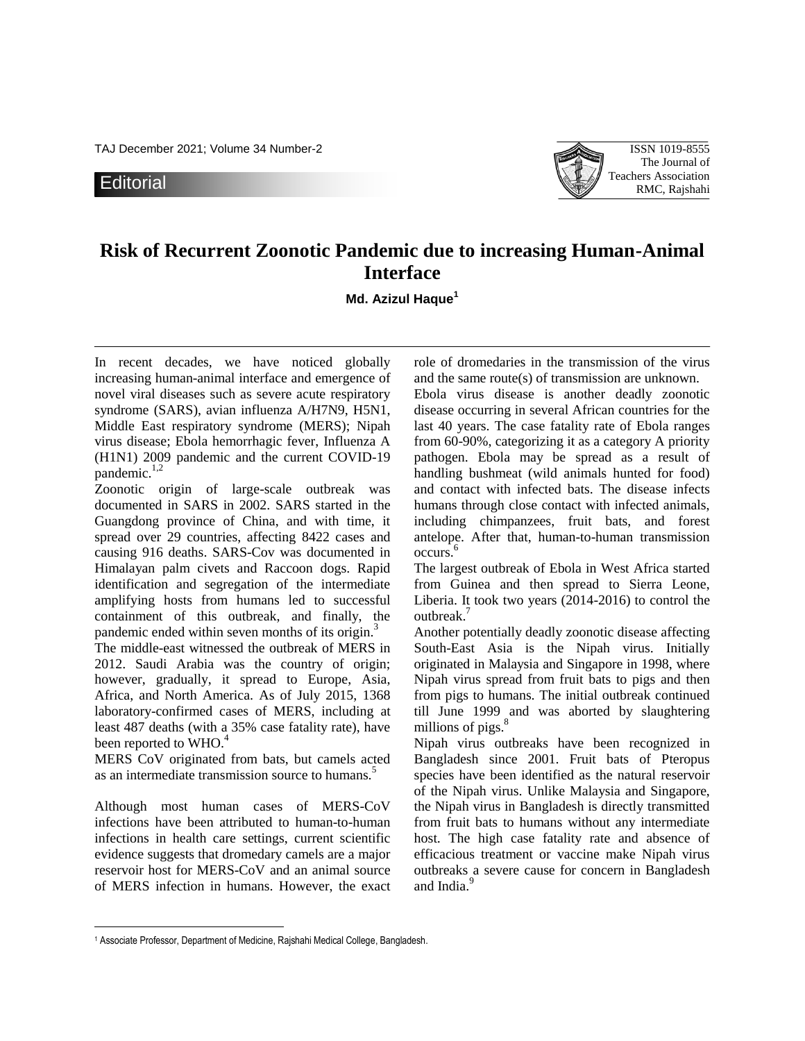TAJ December 2021; Volume 34 Number-2 ISSN 1019-8555

**Editorial** 



## **Risk of Recurrent Zoonotic Pandemic due to increasing Human-Animal Interface**

**Md. Azizul Haque<sup>1</sup>**

In recent decades, we have noticed globally increasing human-animal interface and emergence of novel viral diseases such as severe acute respiratory syndrome (SARS), avian influenza A/H7N9, H5N1, Middle East respiratory syndrome (MERS); Nipah virus disease; Ebola hemorrhagic fever, Influenza A (H1N1) 2009 pandemic and the current COVID-19 pandemic.<sup>1,2</sup>

Zoonotic origin of large-scale outbreak was documented in SARS in 2002. SARS started in the Guangdong province of China, and with time, it spread over 29 countries, affecting 8422 cases and causing 916 deaths. SARS-Cov was documented in Himalayan palm civets and Raccoon dogs. Rapid identification and segregation of the intermediate amplifying hosts from humans led to successful containment of this outbreak, and finally, the pandemic ended within seven months of its origin.<sup>3</sup>

The middle-east witnessed the outbreak of MERS in 2012. Saudi Arabia was the country of origin; however, gradually, it spread to Europe, Asia, Africa, and North America. As of July 2015, 1368 laboratory-confirmed cases of MERS, including at least 487 deaths (with a 35% case fatality rate), have been reported to WHO.<sup>4</sup>

MERS CoV originated from bats, but camels acted as an intermediate transmission source to humans.<sup>5</sup>

Although most human cases of MERS-CoV infections have been attributed to human-to-human infections in health care settings, current scientific evidence suggests that dromedary camels are a major reservoir host for MERS-CoV and an animal source of MERS infection in humans. However, the exact

 $\overline{a}$ 

role of dromedaries in the transmission of the virus and the same route(s) of transmission are unknown.

Ebola virus disease is another deadly zoonotic disease occurring in several African countries for the last 40 years. The case fatality rate of Ebola ranges from 60-90%, categorizing it as a category A priority pathogen. Ebola may be spread as a result of handling bushmeat (wild animals hunted for food) and contact with infected bats. The disease infects humans through close contact with infected animals, including chimpanzees, fruit bats, and forest antelope. After that, human-to-human transmission occurs. 6

The largest outbreak of Ebola in West Africa started from Guinea and then spread to Sierra Leone, Liberia. It took two years (2014-2016) to control the outbreak.<sup>7</sup>

Another potentially deadly zoonotic disease affecting South-East Asia is the Nipah virus. Initially originated in Malaysia and Singapore in 1998, where Nipah virus spread from fruit bats to pigs and then from pigs to humans. The initial outbreak continued till June 1999 and was aborted by slaughtering millions of pigs.<sup>8</sup>

Nipah virus outbreaks have been recognized in Bangladesh since 2001. Fruit bats of Pteropus species have been identified as the natural reservoir of the Nipah virus. Unlike Malaysia and Singapore, the Nipah virus in Bangladesh is directly transmitted from fruit bats to humans without any intermediate host. The high case fatality rate and absence of efficacious treatment or vaccine make Nipah virus outbreaks a severe cause for concern in Bangladesh and India<sup>9</sup>

<sup>1</sup> Associate Professor, Department of Medicine, Rajshahi Medical College, Bangladesh.